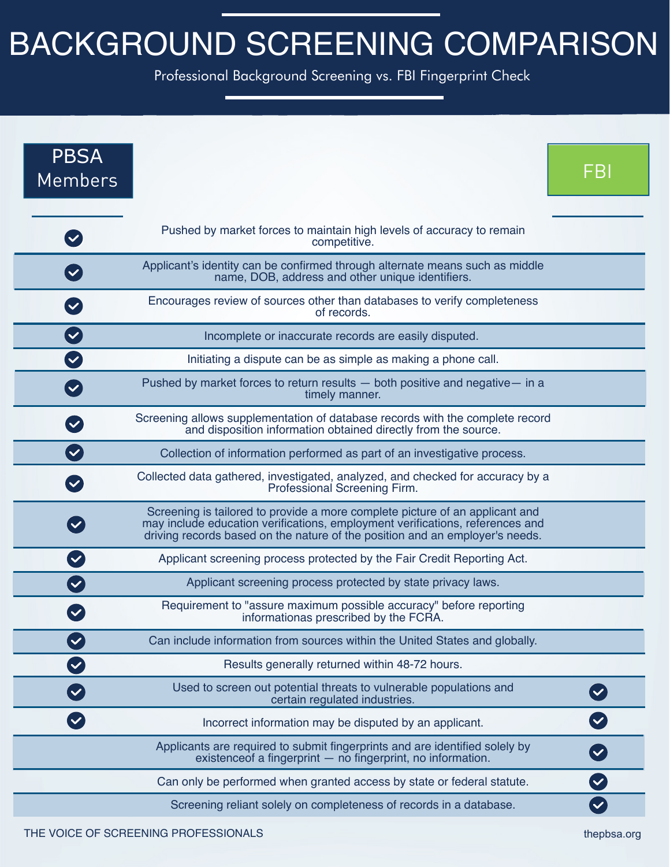## BACKGROUND SCREENING COMPARISON

Professional Background Screening vs. FBI Fingerprint Check

| <b>PBSA</b><br><b>Members</b>       |                                                                                                                                                                                                                                               | FBI                  |
|-------------------------------------|-----------------------------------------------------------------------------------------------------------------------------------------------------------------------------------------------------------------------------------------------|----------------------|
| $\blacktriangledown$                | Pushed by market forces to maintain high levels of accuracy to remain<br>competitive.                                                                                                                                                         |                      |
|                                     | Applicant's identity can be confirmed through alternate means such as middle<br>name, DOB, address and other unique identifiers.                                                                                                              |                      |
|                                     | Encourages review of sources other than databases to verify completeness<br>of records.                                                                                                                                                       |                      |
| $\left( \blacktriangledown \right)$ | Incomplete or inaccurate records are easily disputed.                                                                                                                                                                                         |                      |
| $\checkmark$                        | Initiating a dispute can be as simple as making a phone call.                                                                                                                                                                                 |                      |
|                                     | Pushed by market forces to return results - both positive and negative - in a<br>timely manner.                                                                                                                                               |                      |
|                                     | Screening allows supplementation of database records with the complete record<br>and disposition information obtained directly from the source.                                                                                               |                      |
| $\blacktriangledown$                | Collection of information performed as part of an investigative process.                                                                                                                                                                      |                      |
|                                     | Collected data gathered, investigated, analyzed, and checked for accuracy by a<br>Professional Screening Firm.                                                                                                                                |                      |
|                                     | Screening is tailored to provide a more complete picture of an applicant and<br>may include education verifications, employment verifications, references and<br>driving records based on the nature of the position and an employer's needs. |                      |
|                                     | Applicant screening process protected by the Fair Credit Reporting Act.                                                                                                                                                                       |                      |
|                                     | Applicant screening process protected by state privacy laws.                                                                                                                                                                                  |                      |
|                                     | Requirement to "assure maximum possible accuracy" before reporting<br>informationas prescribed by the FCRA.                                                                                                                                   |                      |
|                                     | Can include information from sources within the United States and globally.                                                                                                                                                                   |                      |
|                                     | Results generally returned within 48-72 hours.                                                                                                                                                                                                |                      |
|                                     | Used to screen out potential threats to vulnerable populations and<br>certain regulated industries.                                                                                                                                           |                      |
|                                     | Incorrect information may be disputed by an applicant.                                                                                                                                                                                        |                      |
|                                     | Applicants are required to submit fingerprints and are identified solely by existence of a fingerprint - no fingerprint, no information.                                                                                                      |                      |
|                                     | Can only be performed when granted access by state or federal statute.                                                                                                                                                                        | $\blacktriangledown$ |
|                                     | Screening reliant solely on completeness of records in a database.                                                                                                                                                                            | $\checkmark$         |